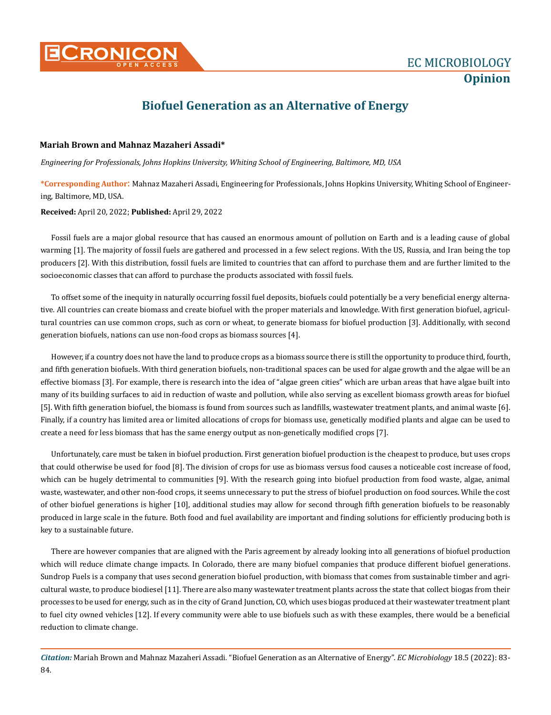

## **Biofuel Generation as an Alternative of Energy**

## **Mariah Brown and Mahnaz Mazaheri Assadi\***

*Engineering for Professionals, Johns Hopkins University, Whiting School of Engineering, Baltimore, MD, USA*

**\*Corresponding Author**: Mahnaz Mazaheri Assadi, Engineering for Professionals, Johns Hopkins University, Whiting School of Engineering, Baltimore, MD, USA.

**Received:** April 20, 2022; **Published:** April 29, 2022

Fossil fuels are a major global resource that has caused an enormous amount of pollution on Earth and is a leading cause of global warming [1]. The majority of fossil fuels are gathered and processed in a few select regions. With the US, Russia, and Iran being the top producers [2]. With this distribution, fossil fuels are limited to countries that can afford to purchase them and are further limited to the socioeconomic classes that can afford to purchase the products associated with fossil fuels.

To offset some of the inequity in naturally occurring fossil fuel deposits, biofuels could potentially be a very beneficial energy alternative. All countries can create biomass and create biofuel with the proper materials and knowledge. With first generation biofuel, agricultural countries can use common crops, such as corn or wheat, to generate biomass for biofuel production [3]. Additionally, with second generation biofuels, nations can use non-food crops as biomass sources [4].

However, if a country does not have the land to produce crops as a biomass source there is still the opportunity to produce third, fourth, and fifth generation biofuels. With third generation biofuels, non-traditional spaces can be used for algae growth and the algae will be an effective biomass [3]. For example, there is research into the idea of "algae green cities" which are urban areas that have algae built into many of its building surfaces to aid in reduction of waste and pollution, while also serving as excellent biomass growth areas for biofuel [5]. With fifth generation biofuel, the biomass is found from sources such as landfills, wastewater treatment plants, and animal waste [6]. Finally, if a country has limited area or limited allocations of crops for biomass use, genetically modified plants and algae can be used to create a need for less biomass that has the same energy output as non-genetically modified crops [7].

Unfortunately, care must be taken in biofuel production. First generation biofuel production is the cheapest to produce, but uses crops that could otherwise be used for food [8]. The division of crops for use as biomass versus food causes a noticeable cost increase of food, which can be hugely detrimental to communities [9]. With the research going into biofuel production from food waste, algae, animal waste, wastewater, and other non-food crops, it seems unnecessary to put the stress of biofuel production on food sources. While the cost of other biofuel generations is higher [10], additional studies may allow for second through fifth generation biofuels to be reasonably produced in large scale in the future. Both food and fuel availability are important and finding solutions for efficiently producing both is key to a sustainable future.

There are however companies that are aligned with the Paris agreement by already looking into all generations of biofuel production which will reduce climate change impacts. In Colorado, there are many biofuel companies that produce different biofuel generations. Sundrop Fuels is a company that uses second generation biofuel production, with biomass that comes from sustainable timber and agricultural waste, to produce biodiesel [11]. There are also many wastewater treatment plants across the state that collect biogas from their processes to be used for energy, such as in the city of Grand Junction, CO, which uses biogas produced at their wastewater treatment plant to fuel city owned vehicles [12]. If every community were able to use biofuels such as with these examples, there would be a beneficial reduction to climate change.

*Citation:* Mariah Brown and Mahnaz Mazaheri Assadi*.* "Biofuel Generation as an Alternative of Energy". *EC Microbiology* 18.5 (2022): 83- 84.